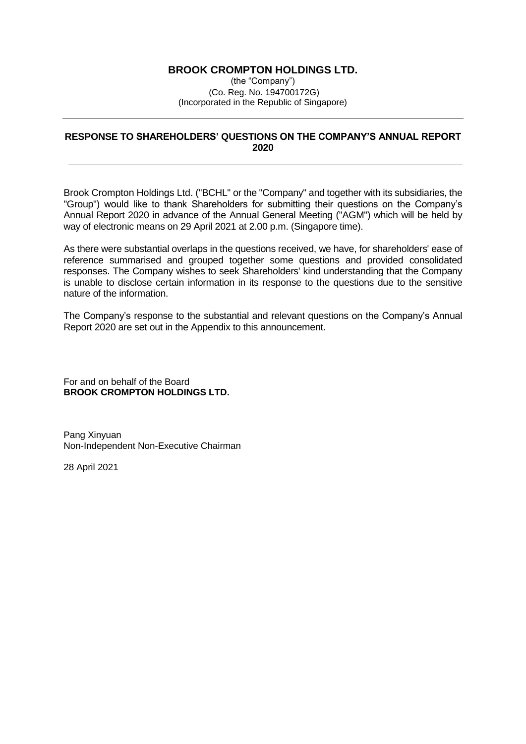# **BROOK CROMPTON HOLDINGS LTD.**

(the "Company") (Co. Reg. No. 194700172G) (Incorporated in the Republic of Singapore)

# **RESPONSE TO SHAREHOLDERS' QUESTIONS ON THE COMPANY'S ANNUAL REPORT 2020**

Brook Crompton Holdings Ltd. ("BCHL" or the "Company" and together with its subsidiaries, the "Group") would like to thank Shareholders for submitting their questions on the Company's Annual Report 2020 in advance of the Annual General Meeting ("AGM") which will be held by way of electronic means on 29 April 2021 at 2.00 p.m. (Singapore time).

As there were substantial overlaps in the questions received, we have, for shareholders' ease of reference summarised and grouped together some questions and provided consolidated responses. The Company wishes to seek Shareholders' kind understanding that the Company is unable to disclose certain information in its response to the questions due to the sensitive nature of the information.

The Company's response to the substantial and relevant questions on the Company's Annual Report 2020 are set out in the Appendix to this announcement.

For and on behalf of the Board **BROOK CROMPTON HOLDINGS LTD.**

Pang Xinyuan Non-Independent Non-Executive Chairman

28 April 2021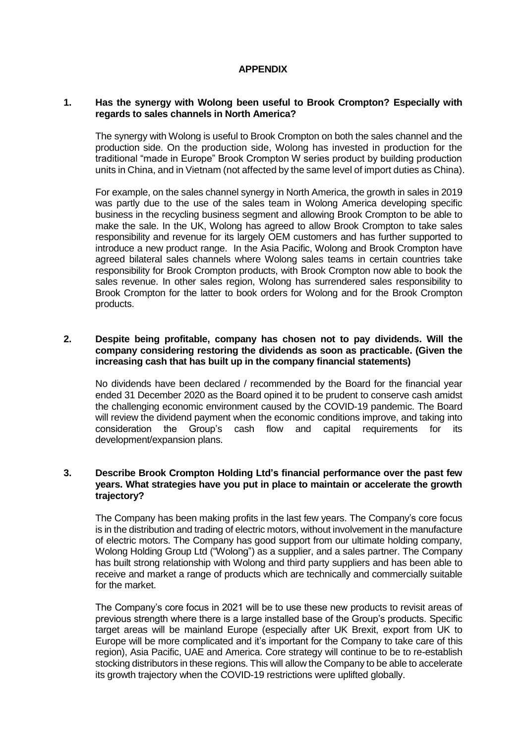### **APPENDIX**

#### **1. Has the synergy with Wolong been useful to Brook Crompton? Especially with regards to sales channels in North America?**

The synergy with Wolong is useful to Brook Crompton on both the sales channel and the production side. On the production side, Wolong has invested in production for the traditional "made in Europe" Brook Crompton W series product by building production units in China, and in Vietnam (not affected by the same level of import duties as China).

For example, on the sales channel synergy in North America, the growth in sales in 2019 was partly due to the use of the sales team in Wolong America developing specific business in the recycling business segment and allowing Brook Crompton to be able to make the sale. In the UK, Wolong has agreed to allow Brook Crompton to take sales responsibility and revenue for its largely OEM customers and has further supported to introduce a new product range. In the Asia Pacific, Wolong and Brook Crompton have agreed bilateral sales channels where Wolong sales teams in certain countries take responsibility for Brook Crompton products, with Brook Crompton now able to book the sales revenue. In other sales region, Wolong has surrendered sales responsibility to Brook Crompton for the latter to book orders for Wolong and for the Brook Crompton products.

### **2. Despite being profitable, company has chosen not to pay dividends. Will the company considering restoring the dividends as soon as practicable. (Given the increasing cash that has built up in the company financial statements)**

No dividends have been declared / recommended by the Board for the financial year ended 31 December 2020 as the Board opined it to be prudent to conserve cash amidst the challenging economic environment caused by the COVID-19 pandemic. The Board will review the dividend payment when the economic conditions improve, and taking into consideration the Group's cash flow and capital requirements for its development/expansion plans.

### **3. Describe Brook Crompton Holding Ltd's financial performance over the past few years. What strategies have you put in place to maintain or accelerate the growth trajectory?**

The Company has been making profits in the last few years. The Company's core focus is in the distribution and trading of electric motors, without involvement in the manufacture of electric motors. The Company has good support from our ultimate holding company, Wolong Holding Group Ltd ("Wolong") as a supplier, and a sales partner. The Company has built strong relationship with Wolong and third party suppliers and has been able to receive and market a range of products which are technically and commercially suitable for the market.

The Company's core focus in 2021 will be to use these new products to revisit areas of previous strength where there is a large installed base of the Group's products. Specific target areas will be mainland Europe (especially after UK Brexit, export from UK to Europe will be more complicated and it's important for the Company to take care of this region), Asia Pacific, UAE and America. Core strategy will continue to be to re-establish stocking distributors in these regions. This will allow the Company to be able to accelerate its growth trajectory when the COVID-19 restrictions were uplifted globally.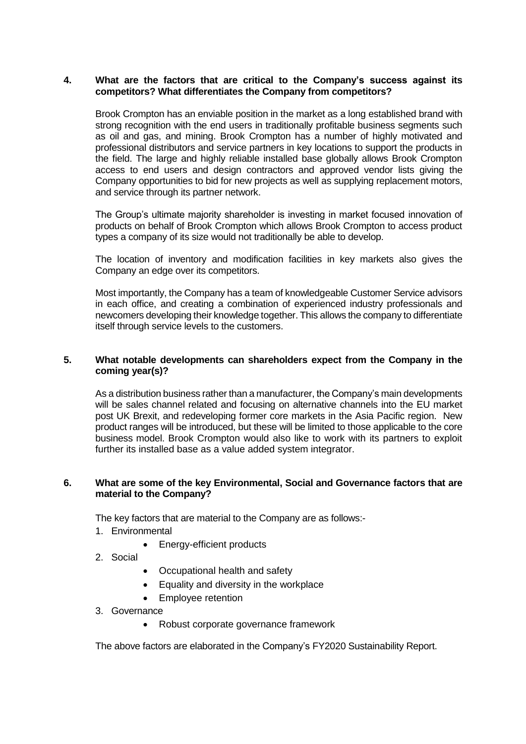### **4. What are the factors that are critical to the Company's success against its competitors? What differentiates the Company from competitors?**

Brook Crompton has an enviable position in the market as a long established brand with strong recognition with the end users in traditionally profitable business segments such as oil and gas, and mining. Brook Crompton has a number of highly motivated and professional distributors and service partners in key locations to support the products in the field. The large and highly reliable installed base globally allows Brook Crompton access to end users and design contractors and approved vendor lists giving the Company opportunities to bid for new projects as well as supplying replacement motors, and service through its partner network.

The Group's ultimate majority shareholder is investing in market focused innovation of products on behalf of Brook Crompton which allows Brook Crompton to access product types a company of its size would not traditionally be able to develop.

The location of inventory and modification facilities in key markets also gives the Company an edge over its competitors.

Most importantly, the Company has a team of knowledgeable Customer Service advisors in each office, and creating a combination of experienced industry professionals and newcomers developing their knowledge together. This allows the company to differentiate itself through service levels to the customers.

# **5. What notable developments can shareholders expect from the Company in the coming year(s)?**

As a distribution business rather than a manufacturer, the Company's main developments will be sales channel related and focusing on alternative channels into the EU market post UK Brexit, and redeveloping former core markets in the Asia Pacific region. New product ranges will be introduced, but these will be limited to those applicable to the core business model. Brook Crompton would also like to work with its partners to exploit further its installed base as a value added system integrator.

#### **6. What are some of the key Environmental, Social and Governance factors that are material to the Company?**

The key factors that are material to the Company are as follows:-

- 1. Environmental
	- Energy-efficient products
- 2. Social
- Occupational health and safety
- Equality and diversity in the workplace
- Employee retention
- 3. Governance
	- Robust corporate governance framework

The above factors are elaborated in the Company's FY2020 Sustainability Report.